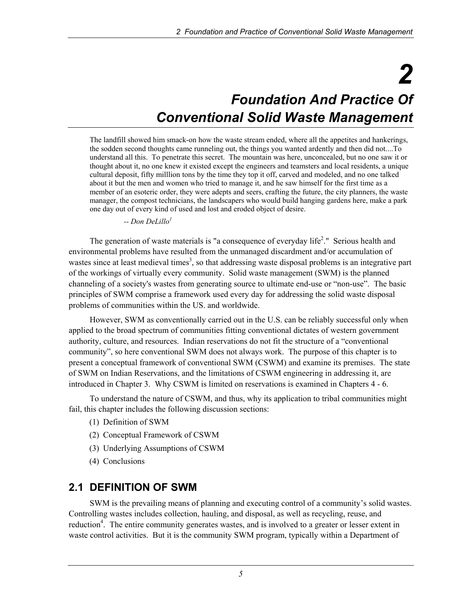# *2 Foundation And Practice Of Conventional Solid Waste Management*

The landfill showed him smack-on how the waste stream ended, where all the appetites and hankerings, the sodden second thoughts came runneling out, the things you wanted ardently and then did not....To understand all this. To penetrate this secret. The mountain was here, unconcealed, but no one saw it or thought about it, no one knew it existed except the engineers and teamsters and local residents, a unique cultural deposit, fifty milllion tons by the time they top it off, carved and modeled, and no one talked about it but the men and women who tried to manage it, and he saw himself for the first time as a member of an esoteric order, they were adepts and seers, crafting the future, the city planners, the waste manager, the compost technicians, the landscapers who would build hanging gardens here, make a park one day out of every kind of used and lost and eroded object of desire.

 *-- Don DeLillo<sup>1</sup>*

The generation of waste materials is "a consequence of everyday life<sup>2</sup>." Serious health and environmental problems have resulted from the unmanaged discardment and/or accumulation of wastes since at least medieval times<sup>3</sup>, so that addressing waste disposal problems is an integrative part of the workings of virtually every community. Solid waste management (SWM) is the planned channeling of a society's wastes from generating source to ultimate end-use or "non-use". The basic principles of SWM comprise a framework used every day for addressing the solid waste disposal problems of communities within the US. and worldwide.

However, SWM as conventionally carried out in the U.S. can be reliably successful only when applied to the broad spectrum of communities fitting conventional dictates of western government authority, culture, and resources. Indian reservations do not fit the structure of a "conventional community", so here conventional SWM does not always work. The purpose of this chapter is to present a conceptual framework of conventional SWM (CSWM) and examine its premises. The state of SWM on Indian Reservations, and the limitations of CSWM engineering in addressing it, are introduced in Chapter 3. Why CSWM is limited on reservations is examined in Chapters 4 - 6.

To understand the nature of CSWM, and thus, why its application to tribal communities might fail, this chapter includes the following discussion sections:

- (1) Definition of SWM
- (2) Conceptual Framework of CSWM
- (3) Underlying Assumptions of CSWM
- (4) Conclusions

#### **2.1 DEFINITION OF SWM**

SWM is the prevailing means of planning and executing control of a community's solid wastes. Controlling wastes includes collection, hauling, and disposal, as well as recycling, reuse, and reduction<sup>4</sup>. The entire community generates wastes, and is involved to a greater or lesser extent in waste control activities. But it is the community SWM program, typically within a Department of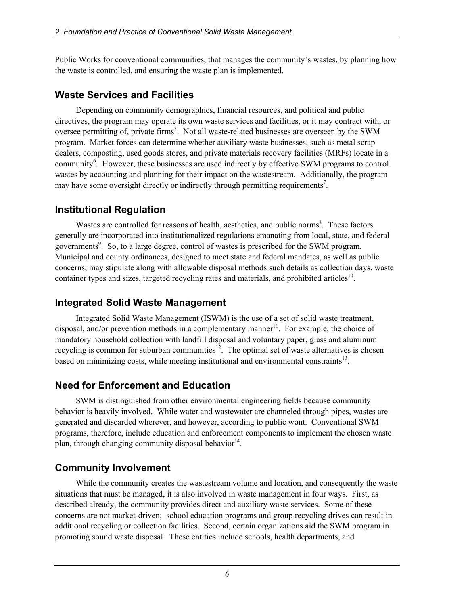Public Works for conventional communities, that manages the community's wastes, by planning how the waste is controlled, and ensuring the waste plan is implemented.

#### **Waste Services and Facilities**

Depending on community demographics, financial resources, and political and public directives, the program may operate its own waste services and facilities, or it may contract with, or oversee permitting of, private firms<sup>5</sup>. Not all waste-related businesses are overseen by the SWM program. Market forces can determine whether auxiliary waste businesses, such as metal scrap dealers, composting, used goods stores, and private materials recovery facilities (MRFs) locate in a community<sup>6</sup>. However, these businesses are used indirectly by effective SWM programs to control wastes by accounting and planning for their impact on the wastestream. Additionally, the program may have some oversight directly or indirectly through permitting requirements<sup>7</sup>.

## **Institutional Regulation**

Wastes are controlled for reasons of health, aesthetics, and public norms<sup>8</sup>. These factors generally are incorporated into institutionalized regulations emanating from local, state, and federal governments<sup>9</sup>. So, to a large degree, control of wastes is prescribed for the SWM program. Municipal and county ordinances, designed to meet state and federal mandates, as well as public concerns, may stipulate along with allowable disposal methods such details as collection days, waste container types and sizes, targeted recycling rates and materials, and prohibited articles<sup>10</sup>.

#### **Integrated Solid Waste Management**

Integrated Solid Waste Management (ISWM) is the use of a set of solid waste treatment, disposal, and/or prevention methods in a complementary manner<sup>11</sup>. For example, the choice of mandatory household collection with landfill disposal and voluntary paper, glass and aluminum recycling is common for suburban communities $1^2$ . The optimal set of waste alternatives is chosen based on minimizing costs, while meeting institutional and environmental constraints $^{13}$ .

## **Need for Enforcement and Education**

SWM is distinguished from other environmental engineering fields because community behavior is heavily involved. While water and wastewater are channeled through pipes, wastes are generated and discarded wherever, and however, according to public wont. Conventional SWM programs, therefore, include education and enforcement components to implement the chosen waste plan, through changing community disposal behavior<sup>14</sup>.

## **Community Involvement**

While the community creates the wastestream volume and location, and consequently the waste situations that must be managed, it is also involved in waste management in four ways. First, as described already, the community provides direct and auxiliary waste services. Some of these concerns are not market-driven; school education programs and group recycling drives can result in additional recycling or collection facilities. Second, certain organizations aid the SWM program in promoting sound waste disposal. These entities include schools, health departments, and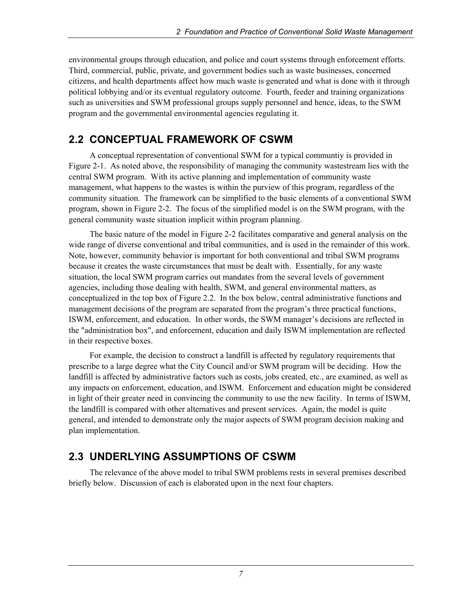environmental groups through education, and police and court systems through enforcement efforts. Third, commercial, public, private, and government bodies such as waste businesses, concerned citizens, and health departments affect how much waste is generated and what is done with it through political lobbying and/or its eventual regulatory outcome. Fourth, feeder and training organizations such as universities and SWM professional groups supply personnel and hence, ideas, to the SWM program and the governmental environmental agencies regulating it.

# **2.2 CONCEPTUAL FRAMEWORK OF CSWM**

A conceptual representation of conventional SWM for a typical communtiy is provided in Figure 2-1. As noted above, the responsibility of managing the community wastestream lies with the central SWM program. With its active planning and implementation of community waste management, what happens to the wastes is within the purview of this program, regardless of the community situation. The framework can be simplified to the basic elements of a conventional SWM program, shown in Figure 2-2. The focus of the simplified model is on the SWM program, with the general community waste situation implicit within program planning.

The basic nature of the model in Figure 2-2 facilitates comparative and general analysis on the wide range of diverse conventional and tribal communities, and is used in the remainder of this work. Note, however, community behavior is important for both conventional and tribal SWM programs because it creates the waste circumstances that must be dealt with. Essentially, for any waste situation, the local SWM program carries out mandates from the several levels of government agencies, including those dealing with health, SWM, and general environmental matters, as conceptualized in the top box of Figure 2.2. In the box below, central administrative functions and management decisions of the program are separated from the program's three practical functions, ISWM, enforcement, and education. In other words, the SWM manager's decisions are reflected in the "administration box", and enforcement, education and daily ISWM implementation are reflected in their respective boxes.

For example, the decision to construct a landfill is affected by regulatory requirements that prescribe to a large degree what the City Council and/or SWM program will be deciding. How the landfill is affected by administrative factors such as costs, jobs created, etc., are examined, as well as any impacts on enforcement, education, and ISWM. Enforcement and education might be considered in light of their greater need in convincing the community to use the new facility. In terms of ISWM, the landfill is compared with other alternatives and present services. Again, the model is quite general, and intended to demonstrate only the major aspects of SWM program decision making and plan implementation.

## **2.3 UNDERLYING ASSUMPTIONS OF CSWM**

The relevance of the above model to tribal SWM problems rests in several premises described briefly below. Discussion of each is elaborated upon in the next four chapters.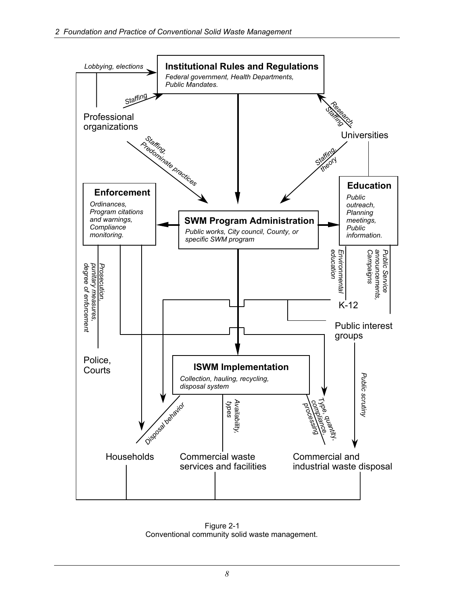

 Figure 2-1 Conventional community solid waste management.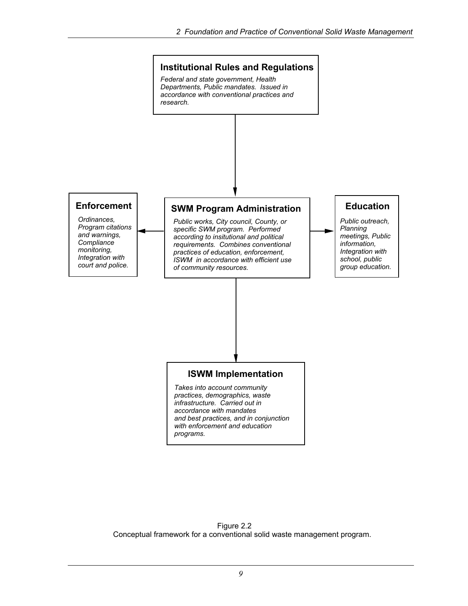

 Figure 2.2 Conceptual framework for a conventional solid waste management program.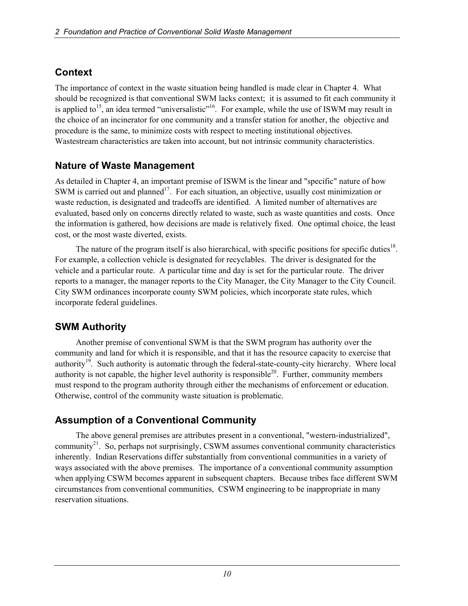## **Context**

The importance of context in the waste situation being handled is made clear in Chapter 4. What should be recognized is that conventional SWM lacks context; it is assumed to fit each community it is applied to<sup>15</sup>, an idea termed "universalistic"<sup>16</sup>. For example, while the use of ISWM may result in the choice of an incinerator for one community and a transfer station for another, the objective and procedure is the same, to minimize costs with respect to meeting institutional objectives. Wastestream characteristics are taken into account, but not intrinsic community characteristics.

## **Nature of Waste Management**

As detailed in Chapter 4, an important premise of ISWM is the linear and "specific" nature of how SWM is carried out and planned<sup>17</sup>. For each situation, an objective, usually cost minimization or waste reduction, is designated and tradeoffs are identified. A limited number of alternatives are evaluated, based only on concerns directly related to waste, such as waste quantities and costs. Once the information is gathered, how decisions are made is relatively fixed. One optimal choice, the least cost, or the most waste diverted, exists.

The nature of the program itself is also hierarchical, with specific positions for specific duties<sup>18</sup>. For example, a collection vehicle is designated for recyclables. The driver is designated for the vehicle and a particular route. A particular time and day is set for the particular route. The driver reports to a manager, the manager reports to the City Manager, the City Manager to the City Council. City SWM ordinances incorporate county SWM policies, which incorporate state rules, which incorporate federal guidelines.

## **SWM Authority**

Another premise of conventional SWM is that the SWM program has authority over the community and land for which it is responsible, and that it has the resource capacity to exercise that authority<sup>19</sup>. Such authority is automatic through the federal-state-county-city hierarchy. Where local authority is not capable, the higher level authority is responsible<sup>20</sup>. Further, community members must respond to the program authority through either the mechanisms of enforcement or education. Otherwise, control of the community waste situation is problematic.

## **Assumption of a Conventional Community**

The above general premises are attributes present in a conventional, "western-industrialized", community<sup>21</sup>. So, perhaps not surprisingly, CSWM assumes conventional community characteristics inherently. Indian Reservations differ substantially from conventional communities in a variety of ways associated with the above premises. The importance of a conventional community assumption when applying CSWM becomes apparent in subsequent chapters. Because tribes face different SWM circumstances from conventional communities, CSWM engineering to be inappropriate in many reservation situations.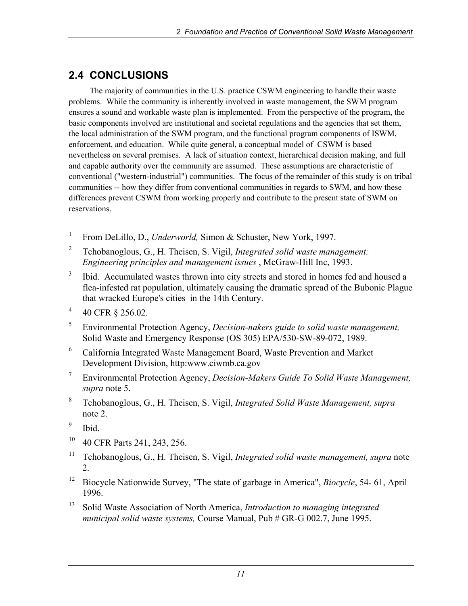# **2.4 CONCLUSIONS**

The majority of communities in the U.S. practice CSWM engineering to handle their waste problems. While the community is inherently involved in waste management, the SWM program ensures a sound and workable waste plan is implemented. From the perspective of the program, the basic components involved are institutional and societal regulations and the agencies that set them, the local administration of the SWM program, and the functional program components of ISWM, enforcement, and education. While quite general, a conceptual model of CSWM is based nevertheless on several premises. A lack of situation context, hierarchical decision making, and full and capable authority over the community are assumed. These assumptions are characteristic of conventional ("western-industrial") communities. The focus of the remainder of this study is on tribal communities -- how they differ from conventional communities in regards to SWM, and how these differences prevent CSWM from working properly and contribute to the present state of SWM on reservations.

- 3 Ibid. Accumulated wastes thrown into city streets and stored in homes fed and housed a flea-infested rat population, ultimately causing the dramatic spread of the Bubonic Plague that wracked Europe's cities in the 14th Century.
- 4 40 CFR § 256.02.
- 5 Environmental Protection Agency, *Decision-nakers guide to solid waste management,*  Solid Waste and Emergency Response (OS 305) EPA/530-SW-89-072, 1989.
- 6 California Integrated Waste Management Board, Waste Prevention and Market Development Division, http:www.ciwmb.ca.gov
- 7 Environmental Protection Agency, *Decision-Makers Guide To Solid Waste Management, supra* note 5.
- 8 Tchobanoglous, G., H. Theisen, S. Vigil, *Integrated Solid Waste Management, supra* note 2.
- 9 Ibid.

l

- 10 40 CFR Parts 241, 243, 256.
- <sup>11</sup> Tchobanoglous, G., H. Theisen, S. Vigil, *Integrated solid waste management, supra* note 2.
- 12 Biocycle Nationwide Survey, "The state of garbage in America", *Biocycle*, 54- 61, April 1996.
- 13 Solid Waste Association of North America, *Introduction to managing integrated municipal solid waste systems,* Course Manual, Pub # GR-G 002.7, June 1995.

<sup>1</sup> From DeLillo, D., *Underworld,* Simon & Schuster, New York, 1997.

<sup>2</sup> Tchobanoglous, G., H. Theisen, S. Vigil, *Integrated solid waste management: Engineering principles and management issues* , McGraw-Hill Inc, 1993.